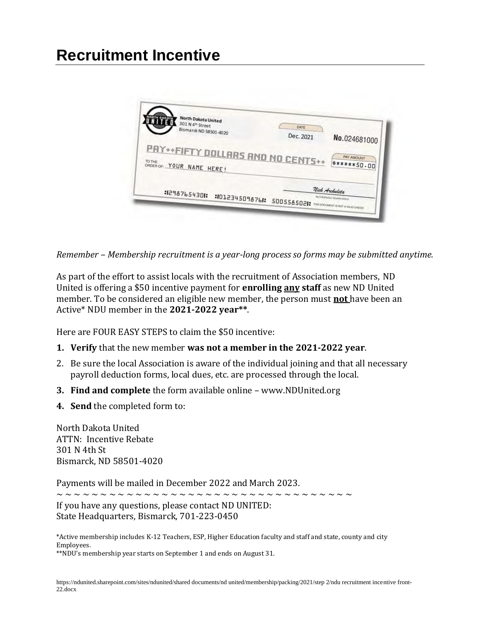## **Recruitment Incentive**



*Remember – Membership recruitment is a year-long process so forms may be submitted anytime.*

As part of the effort to assist locals with the recruitment of Association members, ND United is offering a \$50 incentive payment for **enrolling any staff** as new ND United member. To be considered an eligible new member, the person must **not** have been an Active\* NDU member in the **2021-2022 year\*\***.

Here are FOUR EASY STEPS to claim the \$50 incentive:

- **1. Verify** that the new member **was not a member in the 2021-2022 year**.
- 2. Be sure the local Association is aware of the individual joining and that all necessary payroll deduction forms, local dues, etc. are processed through the local.
- **3. Find and complete** the form available online www.NDUnited.org
- **4. Send** the completed form to:

North Dakota United ATTN: Incentive Rebate 301 N 4th St Bismarck, ND 58501-4020

Payments will be mailed in December 2022 and March 2023.

~ ~ ~ ~ ~ ~ ~ ~ ~ ~ ~ ~ ~ ~ ~ ~ ~ ~ ~ ~ ~ ~ ~ ~ ~ ~ ~ ~ ~ ~ ~ ~ ~ ~

If you have any questions, please contact ND UNITED: State Headquarters, Bismarck, 701-223-0450

\*Active membership includes K-12 Teachers, ESP, Higher Education faculty and staff and state, county and city Employees.

\*\*NDU's membership year starts on September 1 and ends on August 31.